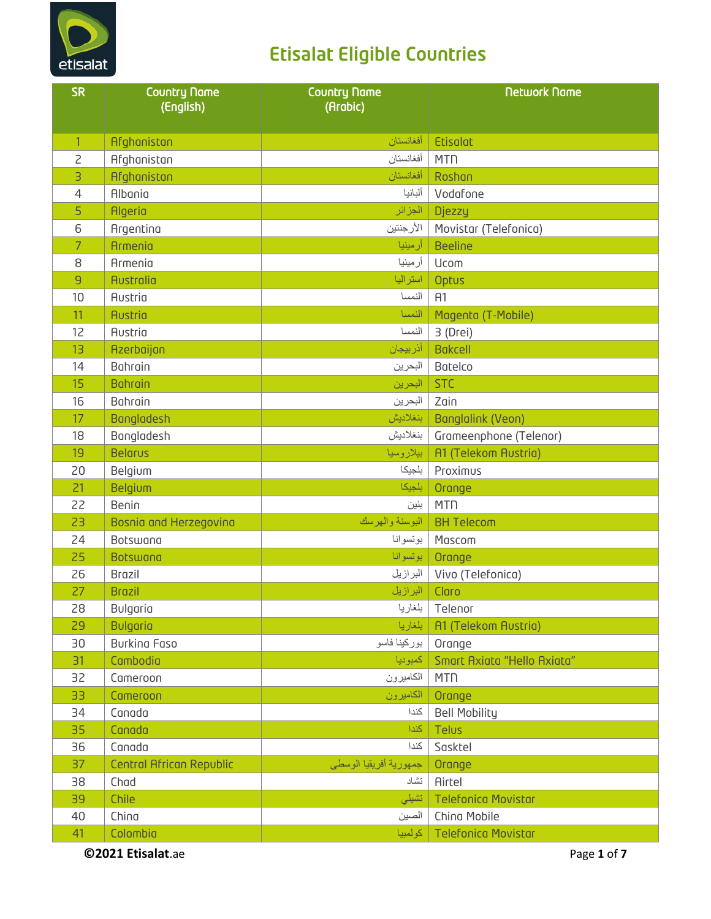

| <b>SR</b>      | <b>Country Name</b><br>(English) | <b>Country Name</b><br>(Arabic) | <b>Network Name</b>         |
|----------------|----------------------------------|---------------------------------|-----------------------------|
| $\mathbf{1}$   | Afghanistan                      | أفغانستان                       | <b>Etisolat</b>             |
| $\overline{c}$ | Afghanistan                      | أفغانستان                       | <b>MTN</b>                  |
| 3              | Afghanistan                      | أفغانستان                       | Roshan                      |
| 4              | Albania                          | ألبانيا                         | Vodafone                    |
| 5              | <b>Algeria</b>                   | الجزائر                         | <b>Djezzy</b>               |
| 6              | Argentina                        | الأرجنتين                       | Movistar (Telefonica)       |
| $\overline{7}$ | Armenia                          | أرمينيا                         | <b>Beeline</b>              |
| 8              | Armenia                          | أرمينيا                         | Ucom                        |
| $\overline{9}$ | <b>Australia</b>                 | استراليا                        | Optus                       |
| 10             | Austria                          | النمسا                          | H1                          |
| 11             | <b>Austria</b>                   | النمسا                          | Magenta (T-Mobile)          |
| 12             | Austria                          | النمسا                          | 3 (Drei)                    |
| 13             | Azerbaijan                       | أذربيجان                        | <b>Bokcell</b>              |
| 14             | Bahrain                          | البحرين                         | Batelco                     |
| 15             | <b>Bahrain</b>                   | البحرين                         | <b>STC</b>                  |
| 16             | Bahrain                          | البحرين                         | Zain                        |
| 17             | Bangladesh                       | بنغلاديش                        | Banglalink (Veon)           |
| 18             | Bangladesh                       | بنغلاديش                        | Grameenphone (Telenor)      |
| 19             | <b>Belarus</b>                   | بيلاروسيا                       | <b>A1 (Telekom Austria)</b> |
| 20             | Belgium                          | بلجيكا                          | Proximus                    |
| 21             | Belgium                          | بلجيكا                          | Orange                      |
| 22             | Benin                            | بنين                            | <b>MTN</b>                  |
| 23             | Bosnia and Herzegovina           | البوسنة والهرسك                 | <b>BH Telecom</b>           |
| 24             | Botswana                         | بوتسوانا                        | Mascom                      |
| 25             | <b>Botswana</b>                  | بوتسوانا                        | Orange                      |
| 26             | <b>Brazil</b>                    | البرازيل                        | Vivo (Telefonica)           |
| 27             | <b>Brazil</b>                    | البرازيل                        | Claro                       |
| 28             | Bulgaria                         | بلغاريا                         | Telenor                     |
| 29             | <b>Bulgaria</b>                  | بلغاريا                         | <b>A1 (Telekom Austria)</b> |
| 30             | <b>Burkina Faso</b>              | بوركينا فاسو                    | Orange                      |
| 31             | Cambodia                         | كمبوديا                         | Smart Axiata "Hello Axiata" |
| 32             | Cameroon                         | الكاميرون                       | <b>MTN</b>                  |
| 33             | Cameroon                         | الكاميرون                       | Orange                      |
| 34             | Canada                           | كندا                            | <b>Bell Mobility</b>        |
| 35             | Canada                           | كندا                            | Telus                       |
| 36             | Canada                           | كندا                            | Sasktel                     |
| 37             | Central African Republic         | جمهورية أفريقيا الوسطى          | Orange                      |
| 38             | Chad                             | تشاد                            | Airtel                      |
| 39             | Chile                            | تشيلي                           | <b>Telefonica Movistar</b>  |
| 40             | China                            | الصين                           | China Mobile                |
| 41             | Colombia                         | كولمبيا                         | <b>Telefonica Movistar</b>  |

**©2021 Etisalat**.ae Page **1** of **7**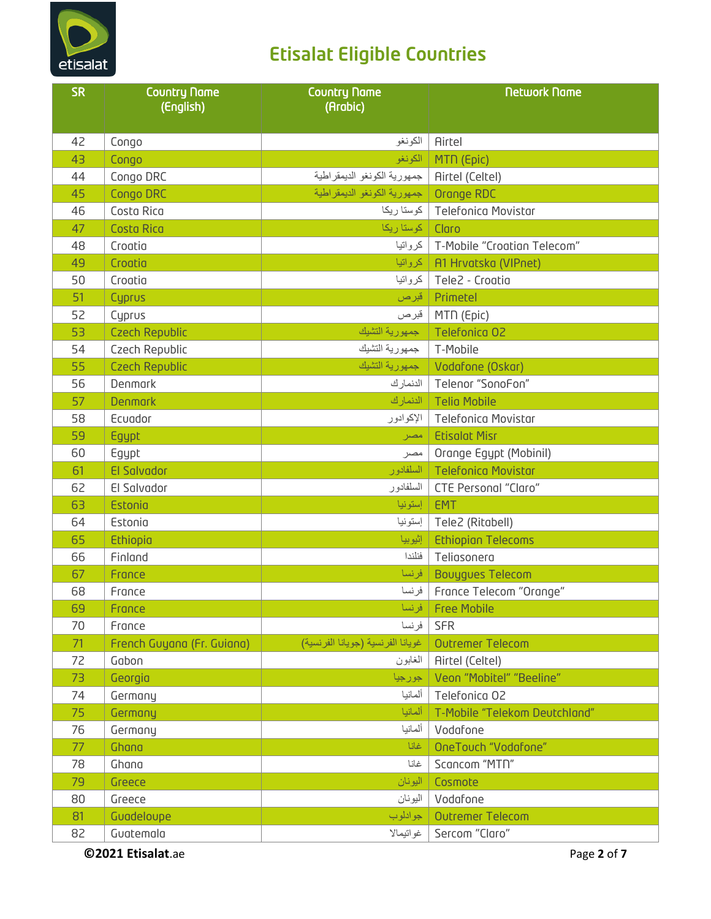

| الكونغو<br><b>Airtel</b><br>42<br>Congo<br>43<br>الكونغو<br>MTN (Epic)<br>Congo<br>جمهورية الكونغو الديمقراطية<br>44<br>Congo DRC<br><b>Airtel (Celtel)</b> |  |
|-------------------------------------------------------------------------------------------------------------------------------------------------------------|--|
|                                                                                                                                                             |  |
|                                                                                                                                                             |  |
|                                                                                                                                                             |  |
| جمهورية الكونغو الديمقراطية<br>45<br>Congo DRC<br>Orange RDC                                                                                                |  |
| Costa Rica<br><b>Telefonica Movistar</b><br>46<br>كوستا ريكا                                                                                                |  |
| <b>Costa Rica</b><br>كوستا ريكا<br>Claro<br>47                                                                                                              |  |
| كرواتيا<br>T-Mobile "Croatian Telecom"<br>48<br>Croatia                                                                                                     |  |
| 49<br>Croatia<br>كرواتيا<br>A1 Hrvatska (VIPnet)                                                                                                            |  |
| كرواتيا<br>Tele2 - Croatia<br>50<br>Croatia                                                                                                                 |  |
| 51<br>Primetel<br>Cyprus<br>قبرص                                                                                                                            |  |
| 52<br>Cuprus<br>قبرص<br>MTN (Epic)                                                                                                                          |  |
| جمهورية التشيك<br>53<br><b>Czech Republic</b><br>Telefonica 02                                                                                              |  |
| جمهورية التشيك<br>54<br>Czech Republic<br>T-Mobile                                                                                                          |  |
| جمهورية التشبك<br>55<br><b>Czech Republic</b><br>Vodafone (Oskar)                                                                                           |  |
| الدنمارك<br>56<br>Denmark<br>Telenor "SonoFon"                                                                                                              |  |
| الدنمارك<br>57<br><b>Denmark</b><br><b>Telia Mobile</b>                                                                                                     |  |
| 58<br>Ecuador<br><b>Telefonica Movistar</b><br>الإكوادور                                                                                                    |  |
| 59<br><b>Etisolot Misr</b><br>Egypt<br>امصر                                                                                                                 |  |
| 60<br>Egypt<br>Orange Egypt (Mobinil)<br>مصر                                                                                                                |  |
| El Salvador<br>السلفادور<br><b>Telefonica Movistar</b><br>61                                                                                                |  |
| السلفادور<br>62<br>El Salvador<br><b>CTE Personal "Claro"</b>                                                                                               |  |
| إستونيا<br>Estonia<br>EMT<br>63                                                                                                                             |  |
| 64<br>Estonia<br>إستونيا<br>Tele2 (Ritabell)                                                                                                                |  |
| إثيوبيا<br><b>Ethiopian Telecoms</b><br>65<br>Ethiopia                                                                                                      |  |
| فنلندا<br>Teliasonera<br>66<br>Finland                                                                                                                      |  |
| فرنسا<br><b>Bouygues Telecom</b><br>67<br>France                                                                                                            |  |
| فرنسا<br>France Telecom "Orange"<br>68<br>France                                                                                                            |  |
| 69<br>France<br>فرنسا<br><b>Free Mobile</b>                                                                                                                 |  |
| فرنسا<br><b>SFR</b><br>70<br>France                                                                                                                         |  |
| غويانا الفرنسية (جويانا الفرنسية)<br>71<br>French Guyana (Fr. Guiana)<br><b>Outremer Telecom</b>                                                            |  |
| 72<br>Gabon<br>الغابون<br><b>Airtel (Celtel)</b>                                                                                                            |  |
| Veon "Mobitel" "Beeline"<br>73<br>Georgia<br>جورجيا                                                                                                         |  |
| ألمانيا<br>Telefonica 02<br>74<br>Germany                                                                                                                   |  |
| ألمانيا<br>T-Mobile "Telekom Deutchland"<br>75<br>Germany                                                                                                   |  |
| ألمانيا<br>Vodafone<br>76<br>Germany                                                                                                                        |  |
| OneTouch "Vodafone"<br>Ghana<br>غانا<br>77                                                                                                                  |  |
| غانا<br>Scancom "MTN"<br>78<br>Ghana                                                                                                                        |  |
| اليونان<br>Cosmote<br>79<br>Greece                                                                                                                          |  |
| 80<br>Greece<br>اليونان<br>Vodafone                                                                                                                         |  |
| Guadeloupe<br>جوادلوب<br><b>Outremer Telecom</b><br>81                                                                                                      |  |
| Sercom "Claro"<br>غواتيمالا<br>82<br>Guatemala                                                                                                              |  |

**©2021 Etisalat**.ae Page **2** of **7**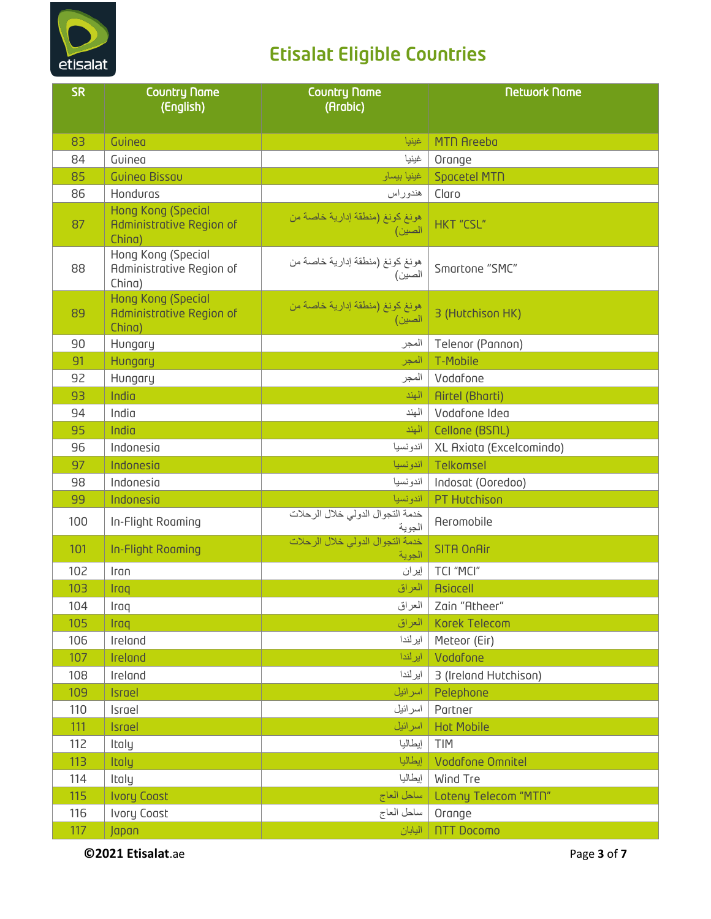

| <b>SR</b> | <b>Country Name</b><br>(English)                         | <b>Country Name</b><br>(Arabic)            | <b>Network Name</b>      |
|-----------|----------------------------------------------------------|--------------------------------------------|--------------------------|
| 83        | Guinea                                                   | غينيا                                      | <b>MTN Areeba</b>        |
| 84        | Guinea                                                   | غينيا                                      | Orange                   |
| 85        | <b>Guinea Bissau</b>                                     | غينيا بيساو                                | Spacetel MTN             |
| 86        | Honduras                                                 | هندوراس                                    | Claro                    |
| 87        | Hong Kong (Special<br>Administrative Region of<br>China) | هونغ كونغ (منطقة إدارية خاصة من<br>الصين)  | <b>HKT "CSL"</b>         |
| 88        | Hong Kong (Special<br>Administrative Region of<br>China) | هونغ كونغ (منطقة إدارية خاصة من<br>الصين)  | Smartone "SMC"           |
| 89        | Hong Kong (Special<br>Administrative Region of<br>China) | هونغ كونغ (منطقة إدارية خاصة من<br>الصين)  | 3 (Hutchison HK)         |
| 90        | Hungary                                                  | المجر                                      | Telenor (Pannon)         |
| 91        | Hungary                                                  | المجر                                      | T-Mobile                 |
| 92        | Hungary                                                  | المجر                                      | Vodafone                 |
| 93        | India                                                    | الهند                                      | <b>Airtel (Bharti)</b>   |
| 94        | India                                                    | الهند                                      | Vodafone Idea            |
| 95        | India                                                    | الهند                                      | Cellone (BSNL)           |
| 96        | Indonesia                                                | اندونسيا                                   | XL Axiata (Excelcomindo) |
| 97        | Indonesia                                                | اندونسيا                                   | Telkomsel                |
| 98        | Indonesia                                                | اندونسيا                                   | Indosat (Ooredoo)        |
| 99        | Indonesia                                                | اندونسيا                                   | PT Hutchison             |
| 100       | In-Flight Roaming                                        | خدمة التجوال الدولي خلال الرحلات<br>الجوية | <b>Aeromobile</b>        |
| 101       | In-Flight Roaming                                        | خدمة التجوال الدولي خلال الرحلات<br>الجوية | <b>SITA OnAir</b>        |
| 102       | Iran                                                     | إيران                                      | TCI "MCI"                |
| 103       | Iraq                                                     | العراق                                     | <b>Asiacell</b>          |
| 104       | Iraq                                                     | العراق                                     | Zain "Atheer"            |
| 105       | Iraq                                                     | العراق                                     | <b>Korek Telecom</b>     |
| 106       | Ireland                                                  | ايرلندا                                    | Meteor (Eir)             |
| 107       | Ireland                                                  | ايرلندا                                    | Vodafone                 |
| 108       | Ireland                                                  | ايرلندا                                    | 3 (Ireland Hutchison)    |
| 109       | Israel                                                   | اسرائيل                                    | Pelephone                |
| 110       | Israel                                                   | اسر ائيل                                   | Partner                  |
| 111       | Israel                                                   | اسرائيل                                    | <b>Hot Mobile</b>        |
| 112       | Italy                                                    | إيطاليا                                    | <b>TIM</b>               |
| 113       | Italy                                                    | إيطاليا                                    | Vodafone Omnitel         |
| 114       | Italy                                                    | إيطاليا                                    | Wind Tre                 |
| 115       | <b>Ivory Coast</b>                                       | ساحل العاج                                 | Loteny Telecom "MTN"     |
| 116       | Ivory Coast                                              | ساحل العاج                                 | Orange                   |
| 117       | Japan                                                    | اليابان                                    | <b>NTT Docomo</b>        |

**©2021 Etisalat**.ae Page **3** of **7**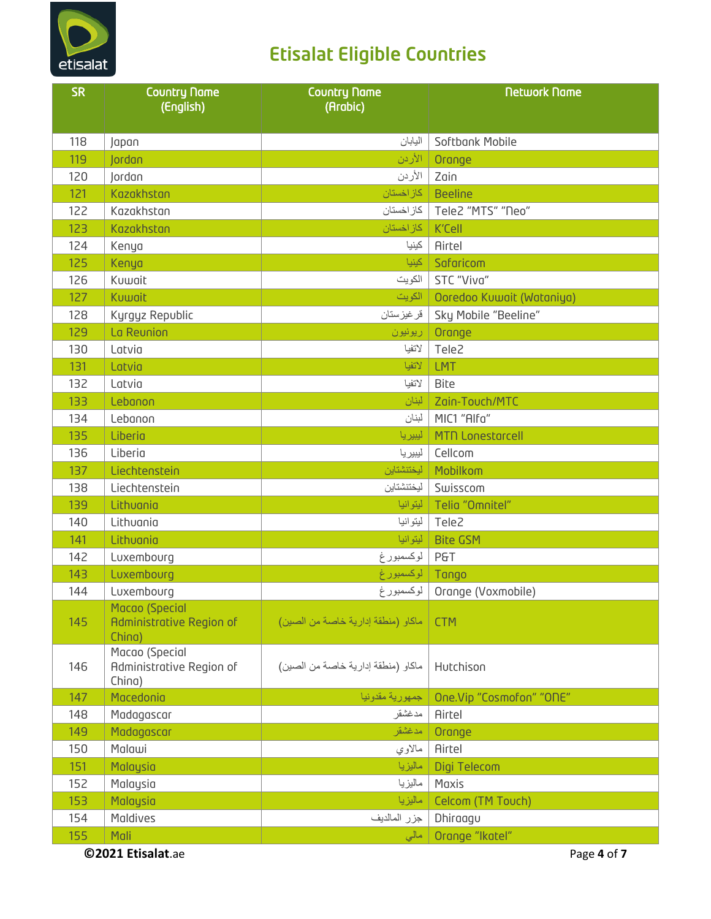

| <b>SR</b> | <b>Country Name</b><br>(English)                     | <b>Country Name</b><br>(Arabic)    | <b>Network Name</b>       |
|-----------|------------------------------------------------------|------------------------------------|---------------------------|
| 118       | Japan                                                | اليابان                            | Softbank Mobile           |
| 119       | Jordan                                               | الأردن                             | Orange                    |
| 120       | Jordan                                               | الأردن                             | Zain                      |
| 121       | Kazakhstan                                           | كاز اخستان                         | <b>Beeline</b>            |
| 122       | Kazakhstan                                           | كاز اخستان                         | Tele2 "MTS" "Neo"         |
| 123       | Kazakhstan                                           | كاز اخستان                         | K'Cell                    |
| 124       | Kenya                                                | كينيا                              | <b>Airtel</b>             |
| 125       | Kenya                                                | كينيا                              | Safaricom                 |
| 126       | Kuwait                                               | الكويت                             | STC "Viva"                |
| 127       | Kuwait                                               | الكويت                             | Ooredoo Kuwait (Wataniya) |
| 128       | Kyrgyz Republic                                      | قر غيز ستان                        | Sky Mobile "Beeline"      |
| 129       | La Reunion                                           | ريونيون                            | Orange                    |
| 130       | Latvia                                               | لاتفيا                             | Tele2                     |
| 131       | Latvia                                               | لاتفيا                             | <b>LMT</b>                |
| 132       | Latvia                                               | لاتفيا                             | Bite                      |
| 133       | Lebanon                                              | لبنان                              | Zain-Touch/MTC            |
| 134       | Lebanon                                              | لبنان                              | MIC1 "Alfa"               |
| 135       | Liberia                                              | ليبريا                             | <b>MTN Lonestarcell</b>   |
| 136       | Liberia                                              | ليبيريا                            | Cellcom                   |
| 137       | Liechtenstein                                        | ليختنشتاين                         | Mobilkom                  |
| 138       | Liechtenstein                                        | ليختنشتاين                         | Swisscom                  |
| 139       | Lithuania                                            | ليتوانيا                           | Telia "Omnitel"           |
| 140       | Lithuania                                            | ليتوانيا                           | Tele2                     |
| 141       | Lithuania                                            | ليتوانيا                           | <b>Bite GSM</b>           |
| 142       | Luxembourg                                           | لوكسمبورغ                          | <b>P&amp;T</b>            |
| 143       | Luxembourg                                           | لوكسمبورغ                          | Tango                     |
| 144       | Luxembourg                                           | لوكسمبورغ                          | Orange (Voxmobile)        |
| 145       | Macao (Special<br>Administrative Region of<br>China) | ماكاو (منطقة إدارية خاصة من الصين) | <b>CTM</b>                |
| 146       | Macao (Special<br>Administrative Region of<br>China) | ماكاو (منطقة إدارية خاصة من الصين) | Hutchison                 |
| 147       | Macedonia                                            | جمهورية مقدونيا                    | One.Vip "Cosmofon" "ONE"  |
| 148       | Madagascar                                           | مدغشقر                             | <b>Airtel</b>             |
| 149       | Madagascar                                           | مدغشقر                             | Orange                    |
| 150       | Malawi                                               | مالاوي                             | <b>Airtel</b>             |
| 151       | Malaysia                                             | ماليزيا                            | Digi Telecom              |
| 152       | Malaysia                                             | ماليزيا                            | Maxis                     |
| 153       | Malaysia                                             | ماليزيا                            | Celcom (TM Touch)         |
| 154       | Maldives                                             | جزر المالديف                       | Dhiraagu                  |
| 155       | Mali                                                 | مالی                               | Orange "Ikatel"           |
|           | @2021 Etisalat.ae                                    |                                    | Page 4 of 7               |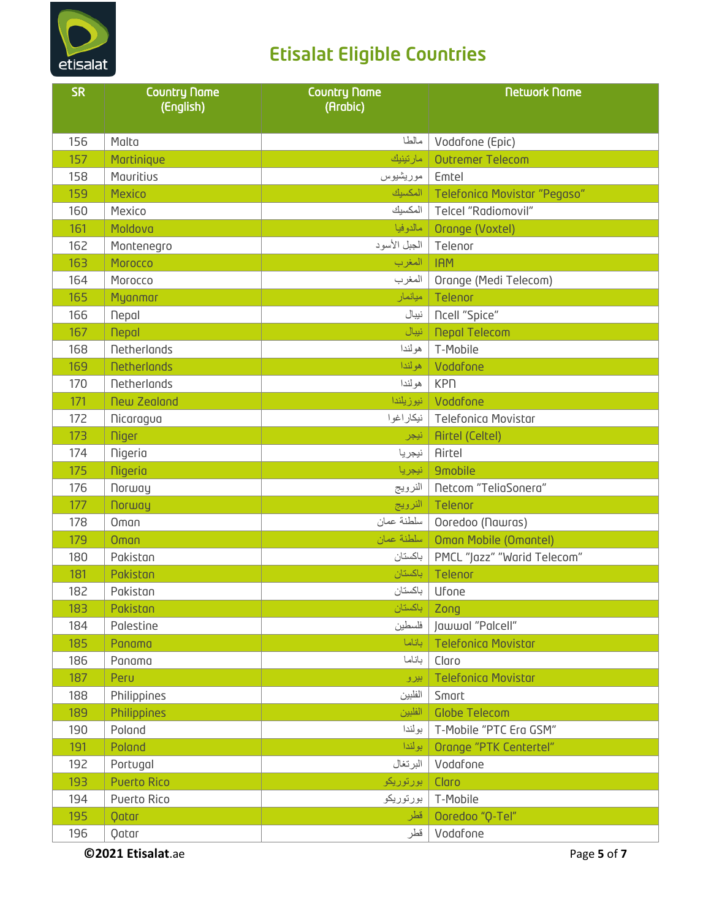

| <b>SR</b> | <b>Country Name</b><br>(English) | <b>Country Name</b><br>(Arabic) | <b>Network Name</b>          |
|-----------|----------------------------------|---------------------------------|------------------------------|
| 156       | Malta                            | مالطا                           | Vodafone (Epic)              |
| 157       | Martinique                       | مارتينيك                        | <b>Outremer Telecom</b>      |
| 158       | Mauritius                        | موريشيوس                        | Emtel                        |
| 159       | <b>Mexico</b>                    | المكسيك                         | Telefonica Movistar "Pegaso" |
| 160       | Mexico                           | المكسيك                         | Telcel "Radiomovil"          |
| 161       | Moldova                          | مالدوفيا                        | Orange (Voxtel)              |
| 162       | Montenegro                       | الجبل الأسود                    | Telenor                      |
| 163       | Morocco                          | المغرب                          | <b>IAM</b>                   |
| 164       | Morocco                          | المغرب                          | Orange (Medi Telecom)        |
| 165       | Myanmar                          | ميانمار                         | Telenor                      |
| 166       | <b>Nepol</b>                     | نيبال                           | <b>Ncell</b> "Spice"         |
| 167       | <b>Nepal</b>                     | نيبال                           | <b>Nepal Telecom</b>         |
| 168       | <b>Netherlands</b>               | هولندا                          | T-Mobile                     |
| 169       | <b>Netherlands</b>               | هولندا                          | Vodafone                     |
| 170       | <b>Netherlands</b>               | هولندا                          | <b>KPN</b>                   |
| 171       | <b>New Zealand</b>               | نیوزیلندا                       | Vodafone                     |
| 172       | Nicaragua                        | نيكاراغوا                       | <b>Telefonica Movistar</b>   |
| 173       | <b>Niger</b>                     | نيجر                            | <b>Airtel (Celtel)</b>       |
| 174       | <b>Nigeria</b>                   | نيجريا                          | Airtel                       |
| 175       | <b>Nigeria</b>                   | نيجريا                          | <b>9mobile</b>               |
| 176       | Norway                           | النرويج                         | Netcom "TeliaSonera"         |
| 177       | <b>Norway</b>                    | النرويج                         | Telenor                      |
| 178       | Oman                             | سلطنة عمان                      | Ooredoo (Nawras)             |
| 179       | Oman                             | سلطنة عمان                      | Oman Mobile (Omantel)        |
| 180       | Pakistan                         | باكستان                         | PMCL "Jazz" "Warid Telecom"  |
| 181       | Pakistan                         | باكستان                         | Telenor                      |
| 182       | Pakistan                         | باكستان                         | Ufone                        |
| 183       | Pakistan                         | باكستان                         | Zong                         |
| 184       | Palestine                        | فلسطين                          | Jawwal "Palcell"             |
| 185       | Panama                           | باناما                          | <b>Telefonica Movistar</b>   |
| 186       | Panama                           | باناما                          | Claro                        |
| 187       | Peru                             | بيرو                            | <b>Telefonica Movistar</b>   |
| 188       | Philippines                      | الفلبين                         | Smart                        |
| 189       | Philippines                      | الفلبين                         | <b>Globe Telecom</b>         |
| 190       | Poland                           | بولندا                          | T-Mobile "PTC Era GSM"       |
| 191       | Poland                           | بولندا                          | Orange "PTK Centertel"       |
| 192       | Portugal                         | البرتغال                        | Vodafone                     |
| 193       | <b>Puerto Rico</b>               | بورتوريكو                       | Claro                        |
| 194       | Puerto Rico                      | بورتوريكو                       | T-Mobile                     |
| 195       | Qatar                            | قطر                             | Ooredoo "Q-Tel"              |
| 196       | Qatar                            | قطر                             | Vodafone                     |

**©2021 Etisalat**.ae Page **5** of **7**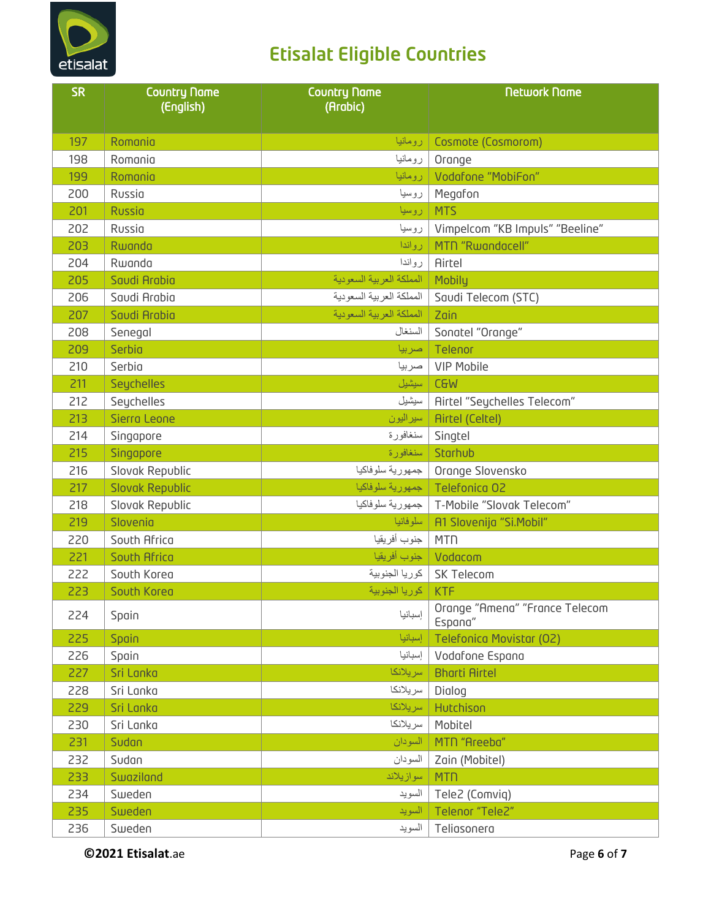

| <b>SR</b> | <b>Country Name</b><br>(English) | <b>Country Name</b><br>(Arabic) | <b>Network Name</b>                       |
|-----------|----------------------------------|---------------------------------|-------------------------------------------|
|           |                                  |                                 |                                           |
| 197       | Romania                          | رومانيا                         | Cosmote (Cosmorom)                        |
| 198       | Romania                          | رومانيا                         | Orange                                    |
| 199       | Romania                          | رومانيا                         | Vodafone "MobiFon"                        |
| 200       | Russia                           | روسيا                           | Megafon                                   |
| 201       | <b>Russia</b>                    | روسيا                           | <b>MTS</b>                                |
| 202       | Russia                           | روسيا                           | Vimpelcom "KB Impuls" "Beeline"           |
| 203       | Rwanda                           | رواندا                          | MTN "Rwandacell"                          |
| 204       | Rwanda                           | رواندا                          | Airtel                                    |
| 205       | Saudi Arabia                     | المملكة العربية السعودية        | Mobily                                    |
| 206       | Saudi Arabia                     | المملكة العربية السعودية        | Saudi Telecom (STC)                       |
| 207       | Saudi Arabia                     | المملكة العربية السعودية        | Zain                                      |
| 208       | Senegal                          | السنغال                         | Sonatel "Orange"                          |
| 209       | Serbia                           | صربيا                           | Telenor                                   |
| 210       | Serbia                           | صربيا                           | <b>VIP Mobile</b>                         |
| 211       | Seychelles                       | سيشيل                           | <b>C&amp;M</b>                            |
| 212       | Seychelles                       | سيشيل                           | <b>Airtel "Seychelles Telecom"</b>        |
| 213       | Sierra Leone                     | سيراليون                        | <b>Airtel (Celtel)</b>                    |
| 214       | Singapore                        | سنغافورة                        | Singtel                                   |
| 215       | Singapore                        | سنغافورة                        | Starhub                                   |
| 216       | Slovak Republic                  | جمهورية سلوفاكيا                | Orange Slovensko                          |
| 217       | <b>Slovak Republic</b>           |                                 | Telefonica 02   جمهورية سلوفاكيا          |
| 218       | Slovak Republic                  | جمهورية سلوفاكيا                | T-Mobile "Slovak Telecom"                 |
| 219       | Slovenia                         | سلوفانيا                        | A1 Slovenija "Si.Mobil"                   |
| 220       | South Africa                     | جنوب أفريقيا                    | <b>MTN</b>                                |
| 221       | South Africa                     | جنوب أفريقيا                    | Vodacom                                   |
| 222       | South Korea                      | كوريا الجنوبية                  | SK Telecom                                |
| 223       | South Korea                      | KTF   كوريا الجنوبية            |                                           |
| 224       | Spain                            | إسبانيا                         | Orange "Amena" "France Telecom<br>Espana" |
| 225       | Spain                            | إسبانيا                         | <b>Telefonica Movistar (O2)</b>           |
| 226       | Spain                            | إسبانيا                         | Vodafone Espana                           |
| 227       | Sri Lanka                        | سريلانكا                        | <b>Bharti Airtel</b>                      |
| 228       | Sri Lanka                        | سريلانكا                        | Dialog                                    |
| 229       | Sri Lanka                        | سريلانكا                        | Hutchison                                 |
| 230       | Sri Lanka                        | سريلانكا                        | Mobitel                                   |
| 231       | Sudan                            | السودان                         | MTN "Areeba"                              |
| 232       | Sudan                            | السودان                         | Zain (Mobitel)                            |
| 233       | Swaziland                        | سوازيلاند                       | <b>MTN</b>                                |
| 234       | Sweden                           | السويد                          | Tele2 (Comviq)                            |
| 235       | Sweden                           | السويد                          | Telenor "Tele2"                           |
| 236       | Sweden                           | السويد                          | Teliasonera                               |